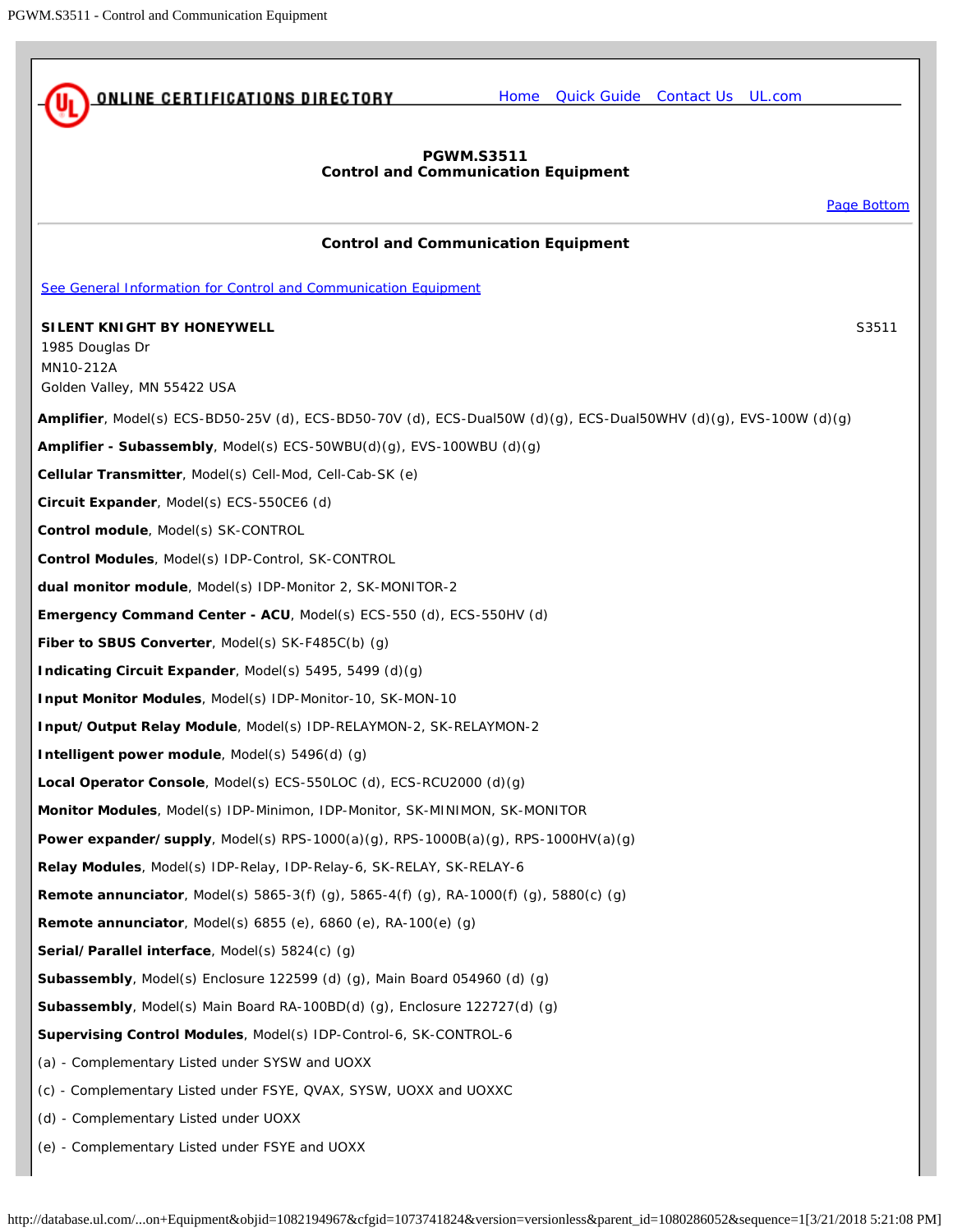<span id="page-0-0"></span>